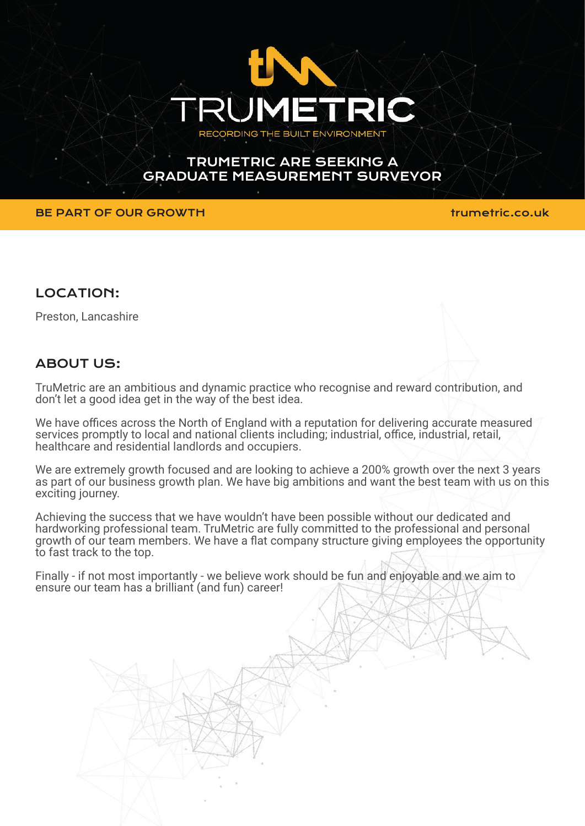

# TRUMETRIC ARE SEEKING A GRADUATE MEASUREMENT SURVEYOR

## BE PART OF OUR GROWTH **the set of the set of the set of the set of the set of the set of the set of the set of th**

## LOCATION:

Preston, Lancashire

# ABOUT US:

TruMetric are an ambitious and dynamic practice who recognise and reward contribution, and don't let a good idea get in the way of the best idea.

We have offices across the North of England with a reputation for delivering accurate measured services promptly to local and national clients including; industrial, office, industrial, retail, healthcare and residential landlords and occupiers.

We are extremely growth focused and are looking to achieve a 200% growth over the next 3 years as part of our business growth plan. We have big ambitions and want the best team with us on this exciting journey.

Achieving the success that we have wouldn't have been possible without our dedicated and hardworking professional team. TruMetric are fully committed to the professional and personal growth of our team members. We have a flat company structure giving employees the opportunity to fast track to the top.

Finally - if not most importantly - we believe work should be fun and enjoyable and we aim to ensure our team has a brilliant (and fun) career!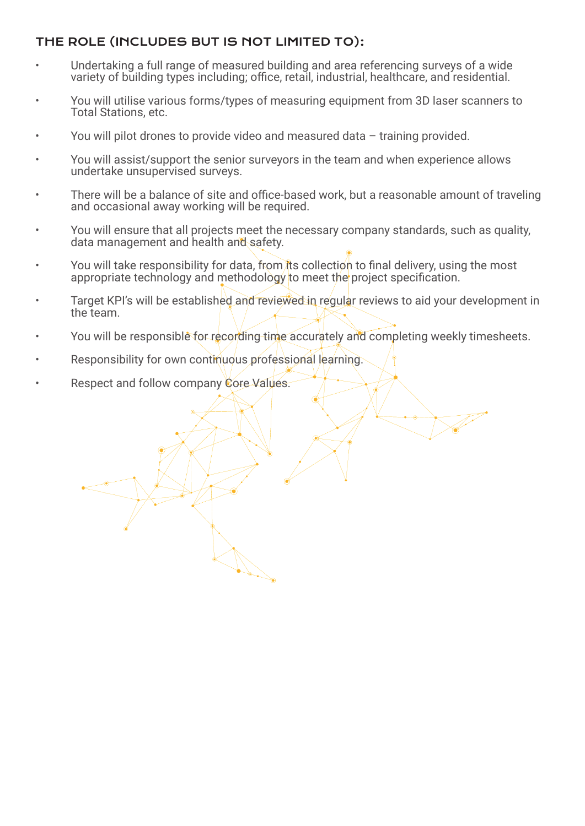## THE ROLE (INCLUDES BUT IS NOT LIMITED TO):

- Undertaking a full range of measured building and area referencing surveys of a wide variety of building types including; office, retail, industrial, healthcare, and residential.
- You will utilise various forms/types of measuring equipment from 3D laser scanners to Total Stations, etc.
- You will pilot drones to provide video and measured data training provided.
- You will assist/support the senior surveyors in the team and when experience allows undertake unsupervised surveys.
- There will be a balance of site and office-based work, but a reasonable amount of traveling and occasional away working will be required.
- You will ensure that all projects meet the necessary company standards, such as quality, data management and health and safety.
- You will take responsibility for data, from its collection to final delivery, using the most appropriate technology and methodology to meet the project specification.
- Target KPI's will be established and reviewed in regular reviews to aid your development in the team.
- You will be responsible for recording time accurately and completing weekly timesheets.

March 1979

- Responsibility for own continuous professional learning.
- Respect and follow company Core Values.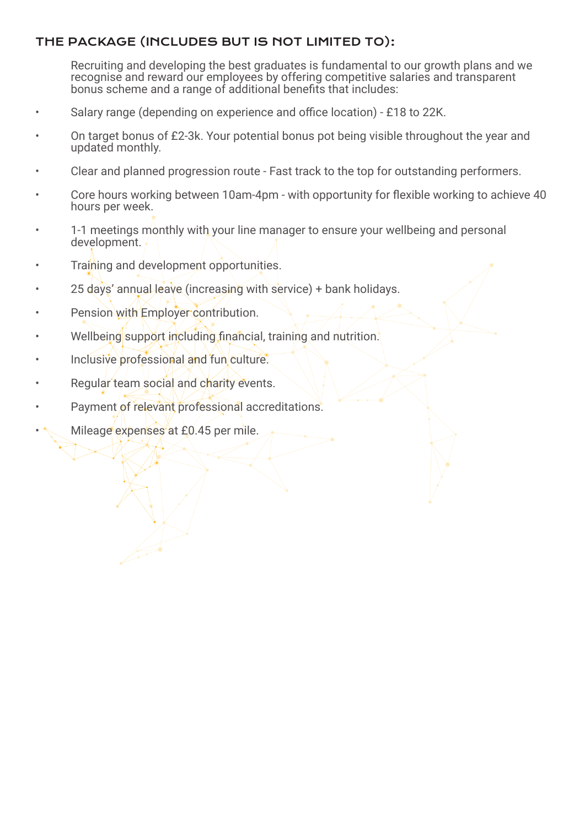## THE PACKAGE (INCLUDES BUT IS NOT LIMITED TO):

Recruiting and developing the best graduates is fundamental to our growth plans and we recognise and reward our employees by offering competitive salaries and transparent bonus scheme and a range of additional benefits that includes:

- Salary range (depending on experience and office location) £18 to 22K.
- On target bonus of £2-3k. Your potential bonus pot being visible throughout the year and updated monthly.
- Clear and planned progression route Fast track to the top for outstanding performers.
- Core hours working between 10am-4pm with opportunity for flexible working to achieve 40 hours per week.
- 1-1 meetings monthly with your line manager to ensure your wellbeing and personal development.
- Training and development opportunities.
- 25 days' annual leave (increasing with service) + bank holidays.
- Pension with Employer contribution.
- Wellbeing support including financial, training and nutrition.
- Inclusive professional and fun culture.
- Regular team social and charity events.
- Payment of relevant professional accreditations.
- Mileage expenses at £0.45 per mile.